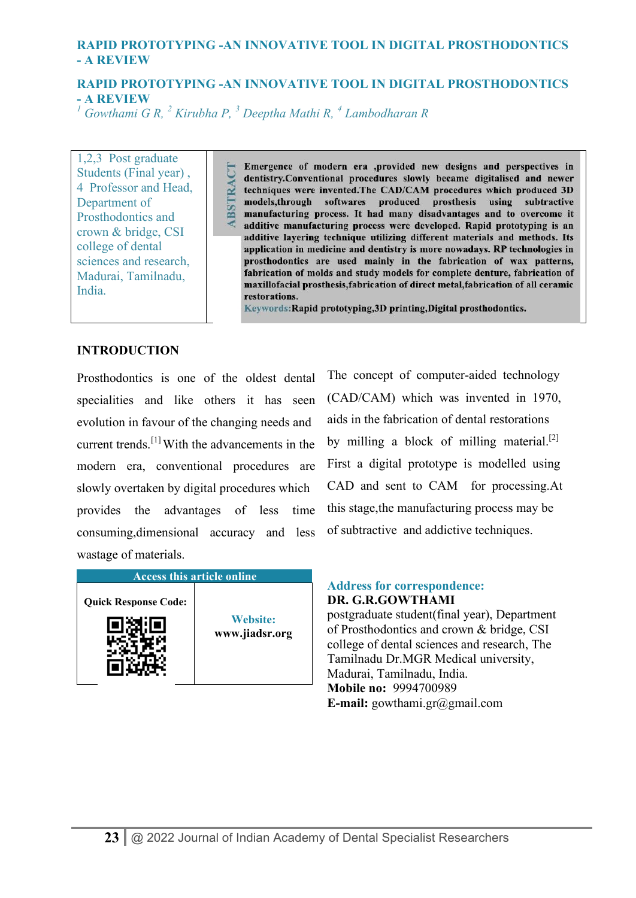# **RAPID PROTOTYPING -AN INNOVATIVE TOOL IN DIGITAL PROSTHODONTICS - A REVIEW**

*<sup>1</sup> Gowthami G R, <sup>2</sup> Kirubha P, <sup>3</sup> Deeptha Mathi R, <sup>4</sup> Lambodharan R* 

1,2,3 Post graduate Students (Final year) , 4 Professor and Head, Department of Prosthodontics and crown & bridge, CSI college of dental sciences and research, Madurai, Tamilnadu, India.

Emergence of modern era ,provided new designs and perspectives in dentistry.Conventional procedures slowly became digitalised and newer dentistry.Conventional procedures slowly became digitalised and newer<br>techniques were invented.The CAD/CAM procedures which produced 3D<br>models,through softwares produced prosthesis using subtractive<br>manufacturing process. additive manufacturing process were developed. Rapid prototyping is an additive layering technique utilizing different materials and methods. Its application in medicine and dentistry is more nowadays. RP technologies in prosthodontics are used mainly in the fabrication of wax patterns, fabrication of molds and study models for complete denture, fabrication of maxillofacial prosthesis, fabrication of direct metal, fabrication of all ceramic restorations.

Keywords: Rapid prototyping, 3D printing, Digital prosthodontics.

### **INTRODUCTION**

Prosthodontics is one of the oldest dental specialities and like others it has seen evolution in favour of the changing needs and current trends.[1] With the advancements in the modern era, conventional procedures are slowly overtaken by digital procedures which provides the advantages of less time consuming,dimensional accuracy and less wastage of materials.

| <b>Access this article online</b> |                                   |
|-----------------------------------|-----------------------------------|
| <b>Quick Response Code:</b>       | <b>Website:</b><br>www.jiadsr.org |

The concept of computer-aided technology (CAD/CAM) which was invented in 1970, aids in the fabrication of dental restorations by milling a block of milling material.<sup>[2]</sup> First a digital prototype is modelled using CAD and sent to CAM for processing.At this stage,the manufacturing process may be of subtractive and addictive techniques.

#### **Address for correspondence: DR. G.R.GOWTHAMI**

postgraduate student(final year), Department of Prosthodontics and crown & bridge, CSI college of dental sciences and research, The Tamilnadu Dr.MGR Medical university, Madurai, Tamilnadu, India. **Mobile no:** 9994700989 **E-mail:** gowthami.gr@gmail.com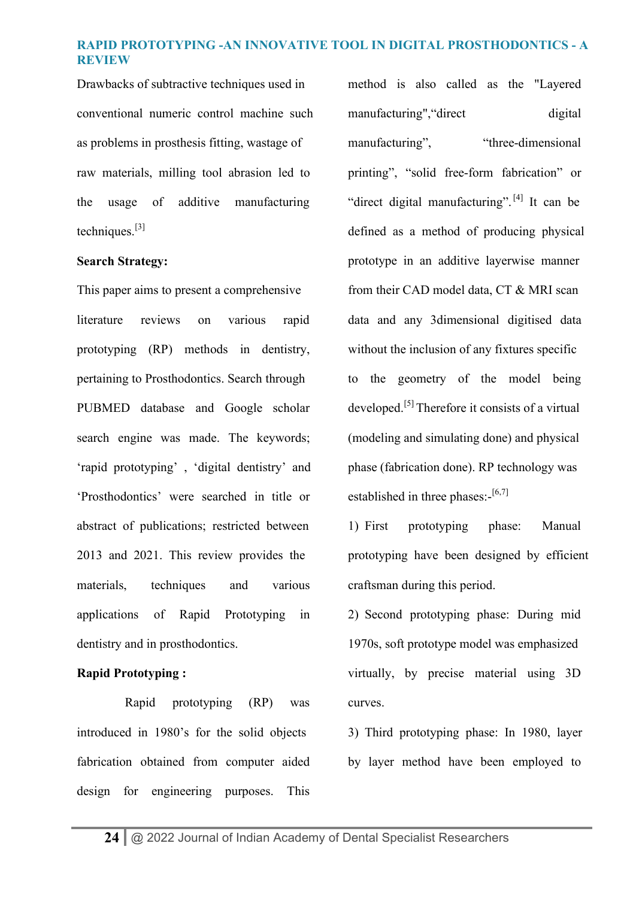Drawbacks of subtractive techniques used in conventional numeric control machine such as problems in prosthesis fitting, wastage of raw materials, milling tool abrasion led to the usage of additive manufacturing techniques. $[3]$ 

### **Search Strategy:**

This paper aims to present a comprehensive literature reviews on various rapid prototyping (RP) methods in dentistry, pertaining to Prosthodontics. Search through PUBMED database and Google scholar search engine was made. The keywords; 'rapid prototyping' , 'digital dentistry' and 'Prosthodontics' were searched in title or abstract of publications; restricted between 2013 and 2021. This review provides the materials, techniques and various applications of Rapid Prototyping in dentistry and in prosthodontics.

### **Rapid Prototyping :**

 Rapid prototyping (RP) was introduced in 1980's for the solid objects fabrication obtained from computer aided design for engineering purposes. This method is also called as the "Layered manufacturing", "direct digital manufacturing", "three-dimensional" printing", "solid free-form fabrication" or "direct digital manufacturing".<sup>[4]</sup> It can be defined as a method of producing physical prototype in an additive layerwise manner from their CAD model data, CT & MRI scan data and any 3dimensional digitised data without the inclusion of any fixtures specific to the geometry of the model being developed.[5] Therefore it consists of a virtual (modeling and simulating done) and physical phase (fabrication done). RP technology was established in three phases: $-$ [6,7]

1) First prototyping phase: Manual prototyping have been designed by efficient craftsman during this period.

2) Second prototyping phase: During mid 1970s, soft prototype model was emphasized virtually, by precise material using 3D curves.

3) Third prototyping phase: In 1980, layer by layer method have been employed to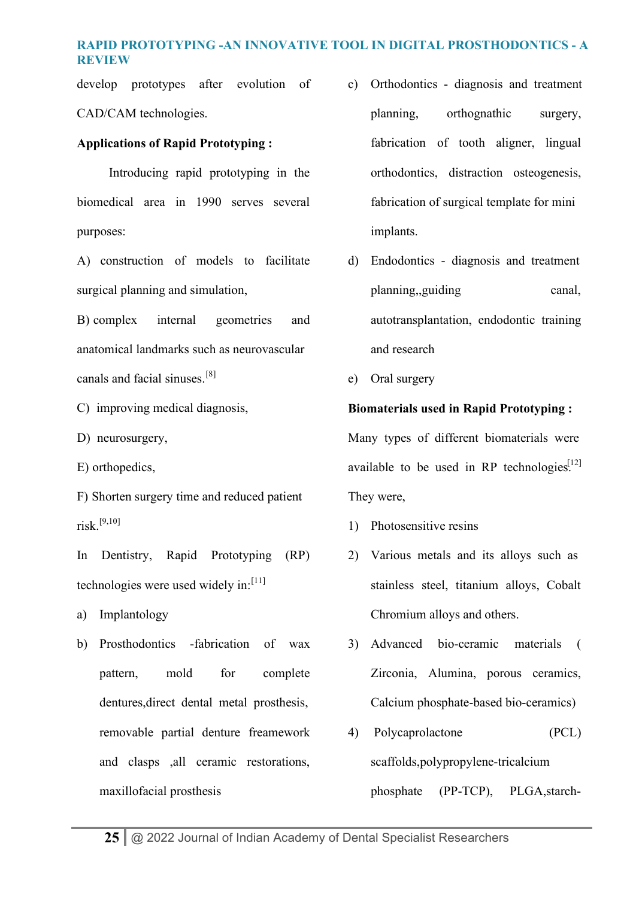develop prototypes after evolution of CAD/CAM technologies.

# **Applications of Rapid Prototyping :**

 Introducing rapid prototyping in the biomedical area in 1990 serves several purposes:

A) construction of models to facilitate surgical planning and simulation,

B) complex internal geometries and anatomical landmarks such as neurovascular canals and facial sinuses.[8]

- C) improving medical diagnosis,
- D) neurosurgery,
- E) orthopedics,

F) Shorten surgery time and reduced patient risk.[9,10]

In Dentistry, Rapid Prototyping (RP) technologies were used widely in: $[11]$ 

- a) Implantology
- b) Prosthodontics -fabrication of wax pattern, mold for complete dentures,direct dental metal prosthesis, removable partial denture freamework and clasps ,all ceramic restorations, maxillofacial prosthesis
- c) Orthodontics diagnosis and treatment planning, orthognathic surgery, fabrication of tooth aligner, lingual orthodontics, distraction osteogenesis, fabrication of surgical template for mini implants.
- d) Endodontics diagnosis and treatment planning,,guiding canal, autotransplantation, endodontic training and research
- e) Oral surgery

# **Biomaterials used in Rapid Prototyping :**

Many types of different biomaterials were available to be used in RP technologies.<sup>[12]</sup> They were,

- 1) Photosensitive resins
- 2) Various metals and its alloys such as stainless steel, titanium alloys, Cobalt Chromium alloys and others.
- 3) Advanced bio-ceramic materials ( Zirconia, Alumina, porous ceramics, Calcium phosphate-based bio-ceramics)
- 4) Polycaprolactone (PCL) scaffolds,polypropylene-tricalcium phosphate (PP-TCP), PLGA,starch-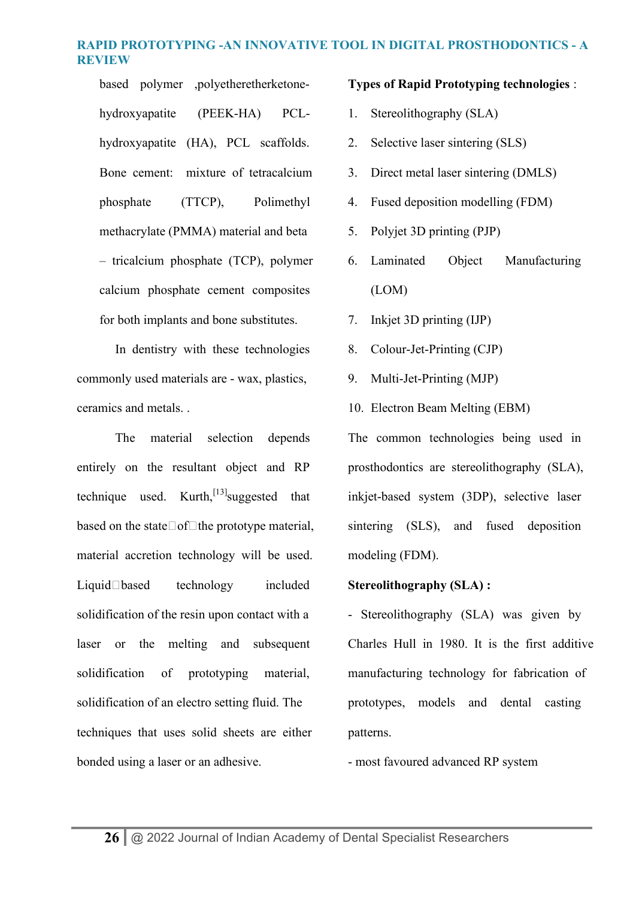based polymer ,polyetheretherketonehydroxyapatite (PEEK-HA) PCLhydroxyapatite (HA), PCL scaffolds. Bone cement: mixture of tetracalcium phosphate (TTCP), Polimethyl methacrylate (PMMA) material and beta – tricalcium phosphate (TCP), polymer calcium phosphate cement composites for both implants and bone substitutes.

 In dentistry with these technologies commonly used materials are - wax, plastics, ceramics and metals. .

The material selection depends entirely on the resultant object and RP technique used. Kurth,  $[13]$  suggested that based on the state $\Box$ of $\Box$ the prototype material, material accretion technology will be used.  $Liquid \Box$ based technology included solidification of the resin upon contact with a laser or the melting and subsequent solidification of prototyping material, solidification of an electro setting fluid. The techniques that uses solid sheets are either bonded using a laser or an adhesive.

#### **Types of Rapid Prototyping technologies** :

- 1. Stereolithography (SLA)
- 2. Selective laser sintering (SLS)
- 3. Direct metal laser sintering (DMLS)
- 4. Fused deposition modelling (FDM)
- 5. Polyjet 3D printing (PJP)
- 6. Laminated Object Manufacturing (LOM)
- 7. Inkjet 3D printing (IJP)
- 8. Colour-Jet-Printing (CJP)
- 9. Multi-Jet-Printing (MJP)
- 10. Electron Beam Melting (EBM)

The common technologies being used in prosthodontics are stereolithography (SLA), inkjet-based system (3DP), selective laser sintering (SLS), and fused deposition modeling (FDM).

### **Stereolithography (SLA) :**

- Stereolithography (SLA) was given by Charles Hull in 1980. It is the first additive manufacturing technology for fabrication of prototypes, models and dental casting patterns.

- most favoured advanced RP system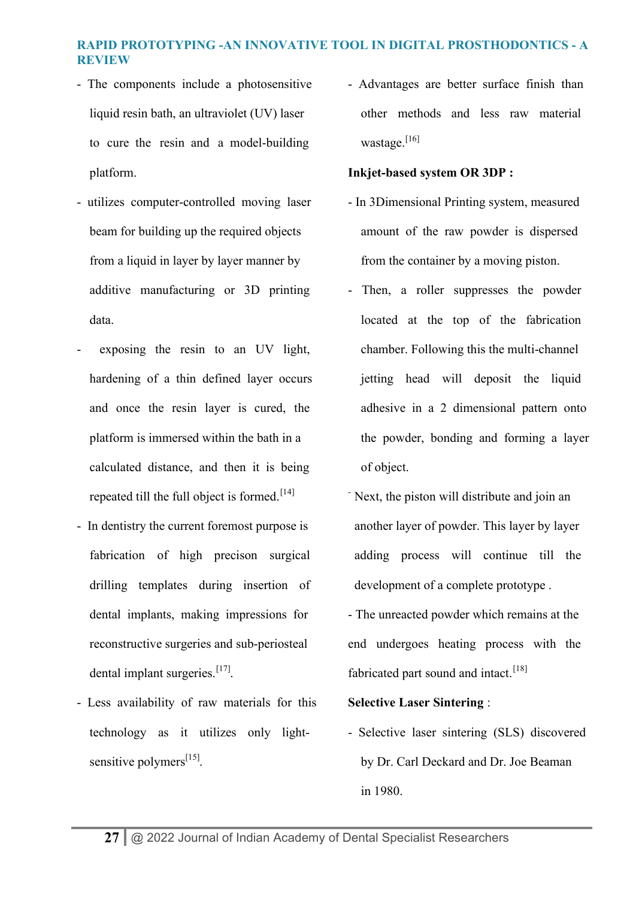- The components include a photosensitive liquid resin bath, an ultraviolet (UV) laser to cure the resin and a model-building platform.
- utilizes computer-controlled moving laser beam for building up the required objects from a liquid in layer by layer manner by additive manufacturing or 3D printing data.
- exposing the resin to an UV light, hardening of a thin defined layer occurs and once the resin layer is cured, the platform is immersed within the bath in a calculated distance, and then it is being repeated till the full object is formed.<sup>[14]</sup>
- In dentistry the current foremost purpose is fabrication of high precison surgical drilling templates during insertion of dental implants, making impressions for reconstructive surgeries and sub-periosteal dental implant surgeries.<sup>[17]</sup>.
- Less availability of raw materials for this technology as it utilizes only lightsensitive polymers<sup>[15]</sup>.

- Advantages are better surface finish than other methods and less raw material wastage.<sup>[16]</sup>

### **Inkjet-based system OR 3DP :**

- In 3Dimensional Printing system, measured amount of the raw powder is dispersed from the container by a moving piston.
- Then, a roller suppresses the powder located at the top of the fabrication chamber. Following this the multi-channel jetting head will deposit the liquid adhesive in a 2 dimensional pattern onto the powder, bonding and forming a layer of object.
- Next, the piston will distribute and join an another layer of powder. This layer by layer adding process will continue till the development of a complete prototype .
- The unreacted powder which remains at the end undergoes heating process with the fabricated part sound and intact.<sup>[18]</sup>

#### **Selective Laser Sintering** :

- Selective laser sintering (SLS) discovered by Dr. Carl Deckard and Dr. Joe Beaman in 1980.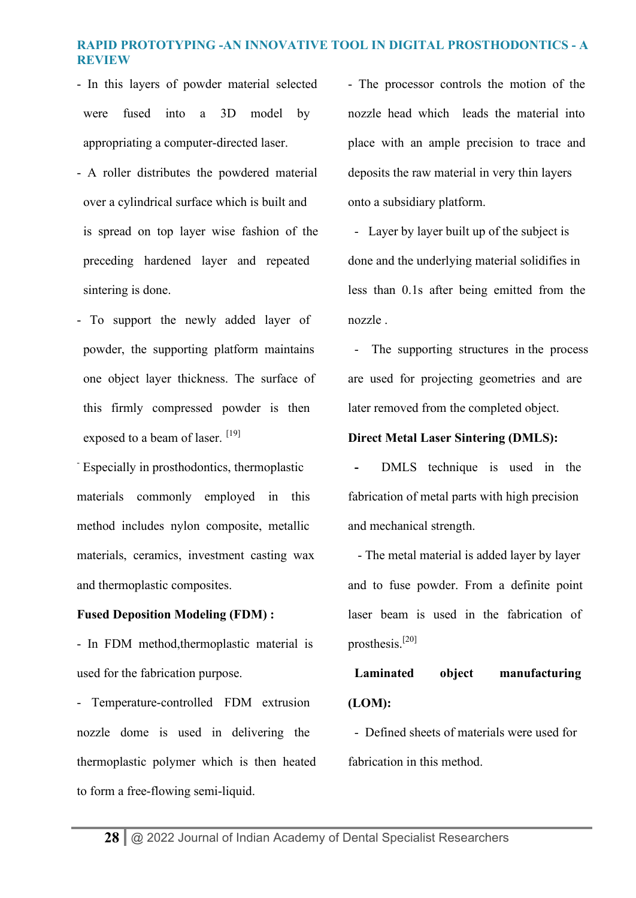- In this layers of powder material selected were fused into a 3D model by appropriating a computer-directed laser.
- A roller distributes the powdered material over a cylindrical surface which is built and is spread on top layer wise fashion of the preceding hardened layer and repeated sintering is done.
- To support the newly added layer of powder, the supporting platform maintains one object layer thickness. The surface of this firmly compressed powder is then exposed to a beam of laser.  $[19]$

- Especially in prosthodontics, thermoplastic materials commonly employed in this method includes nylon composite, metallic materials, ceramics, investment casting wax and thermoplastic composites.

#### **Fused Deposition Modeling (FDM) :**

- In FDM method,thermoplastic material is used for the fabrication purpose.

- Temperature-controlled FDM extrusion nozzle dome is used in delivering the thermoplastic polymer which is then heated to form a free-flowing semi-liquid.

- The processor controls the motion of the nozzle head which leads the material into place with an ample precision to trace and deposits the raw material in very thin layers onto a subsidiary platform.

- Layer by layer built up of the subject is done and the underlying material solidifies in less than 0.1s after being emitted from the nozzle .

- The supporting structures in the process are used for projecting geometries and are later removed from the completed object.

### **Direct Metal Laser Sintering (DMLS):**

DMLS technique is used in the fabrication of metal parts with high precision and mechanical strength.

- The metal material is added layer by layer and to fuse powder. From a definite point laser beam is used in the fabrication of prosthesis.[20]

**Laminated object manufacturing (LOM):**

- Defined sheets of materials were used for fabrication in this method.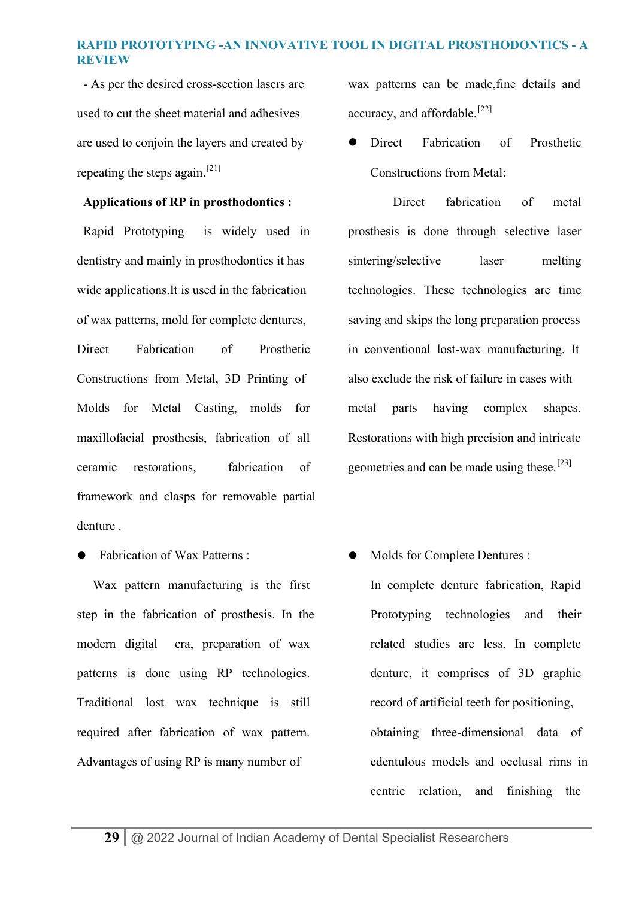- As per the desired cross-section lasers are used to cut the sheet material and adhesives are used to conjoin the layers and created by repeating the steps again.<sup>[21]</sup>

### **Applications of RP in prosthodontics :**

Rapid Prototyping is widely used in dentistry and mainly in prosthodontics it has wide applications.It is used in the fabrication of wax patterns, mold for complete dentures, Direct Fabrication of Prosthetic Constructions from Metal, 3D Printing of Molds for Metal Casting, molds for maxillofacial prosthesis, fabrication of all ceramic restorations, fabrication of framework and clasps for removable partial denture .

• Fabrication of Wax Patterns :

 Wax pattern manufacturing is the first step in the fabrication of prosthesis. In the modern digital era, preparation of wax patterns is done using RP technologies. Traditional lost wax technique is still required after fabrication of wax pattern. Advantages of using RP is many number of

wax patterns can be made,fine details and accuracy, and affordable.<sup>[22]</sup>

**•** Direct Fabrication of Prosthetic Constructions from Metal:

Direct fabrication of metal prosthesis is done through selective laser sintering/selective laser melting technologies. These technologies are time saving and skips the long preparation process in conventional lost-wax manufacturing. It also exclude the risk of failure in cases with metal parts having complex shapes. Restorations with high precision and intricate geometries and can be made using these.[23]

Molds for Complete Dentures :

In complete denture fabrication, Rapid Prototyping technologies and their related studies are less. In complete denture, it comprises of 3D graphic record of artificial teeth for positioning, obtaining three-dimensional data of edentulous models and occlusal rims in centric relation, and finishing the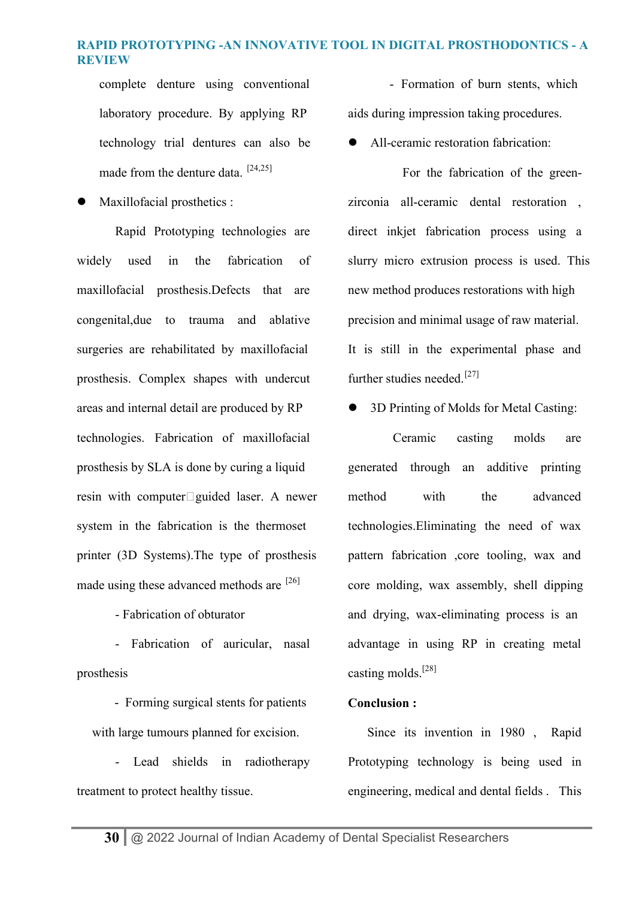complete denture using conventional laboratory procedure. By applying RP technology trial dentures can also be made from the denture data. [24,25]

 $\bullet$  Maxillofacial prosthetics :

 Rapid Prototyping technologies are widely used in the fabrication of maxillofacial prosthesis.Defects that are congenital,due to trauma and ablative surgeries are rehabilitated by maxillofacial prosthesis. Complex shapes with undercut areas and internal detail are produced by RP technologies. Fabrication of maxillofacial prosthesis by SLA is done by curing a liquid resin with computer $\square$  guided laser. A newer system in the fabrication is the thermoset printer (3D Systems).The type of prosthesis made using these advanced methods are  $^{[26]}$ 

- Fabrication of obturator

- Fabrication of auricular, nasal prosthesis

- Forming surgical stents for patients with large tumours planned for excision.

- Lead shields in radiotherapy treatment to protect healthy tissue.

- Formation of burn stents, which aids during impression taking procedures.

All-ceramic restoration fabrication:

For the fabrication of the greenzirconia all-ceramic dental restoration , direct inkjet fabrication process using a slurry micro extrusion process is used. This new method produces restorations with high precision and minimal usage of raw material. It is still in the experimental phase and further studies needed.<sup>[27]</sup>

• 3D Printing of Molds for Metal Casting:

Ceramic casting molds are generated through an additive printing method with the advanced technologies.Eliminating the need of wax pattern fabrication ,core tooling, wax and core molding, wax assembly, shell dipping and drying, wax-eliminating process is an advantage in using RP in creating metal casting molds.[28]

### **Conclusion :**

 Since its invention in 1980 , Rapid Prototyping technology is being used in engineering, medical and dental fields . This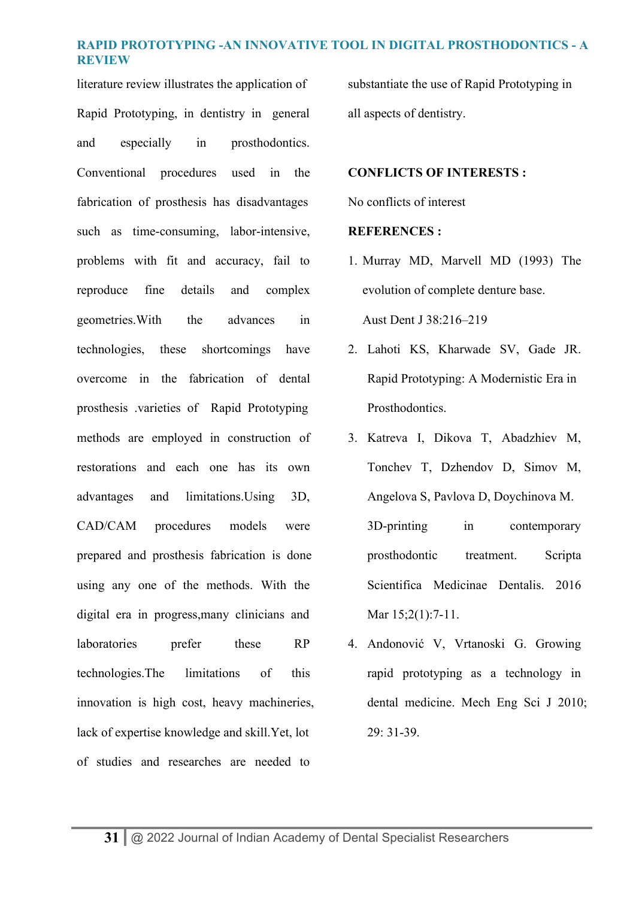literature review illustrates the application of Rapid Prototyping, in dentistry in general and especially in prosthodontics. Conventional procedures used in the fabrication of prosthesis has disadvantages such as time-consuming, labor-intensive, problems with fit and accuracy, fail to reproduce fine details and complex geometries.With the advances in technologies, these shortcomings have overcome in the fabrication of dental prosthesis .varieties of Rapid Prototyping methods are employed in construction of restorations and each one has its own advantages and limitations.Using 3D, CAD/CAM procedures models were prepared and prosthesis fabrication is done using any one of the methods. With the digital era in progress,many clinicians and laboratories prefer these RP technologies.The limitations of this innovation is high cost, heavy machineries, lack of expertise knowledge and skill.Yet, lot of studies and researches are needed to

substantiate the use of Rapid Prototyping in all aspects of dentistry.

#### **CONFLICTS OF INTERESTS :**

No conflicts of interest

#### **REFERENCES :**

- 1. Murray MD, Marvell MD (1993) The evolution of complete denture base. Aust Dent J 38:216–219
- 2. Lahoti KS, Kharwade SV, Gade JR. Rapid Prototyping: A Modernistic Era in Prosthodontics.
- 3. Katreva I, Dikova T, Abadzhiev M, Tonchev T, Dzhendov D, Simov M, Angelova S, Pavlova D, Doychinova M. 3D-printing in contemporary prosthodontic treatment. Scripta Scientifica Medicinae Dentalis. 2016 Mar  $15;2(1):7-11$ .
- 4. Andonović V, Vrtanoski G. Growing rapid prototyping as a technology in dental medicine. Mech Eng Sci J 2010; 29: 31-39.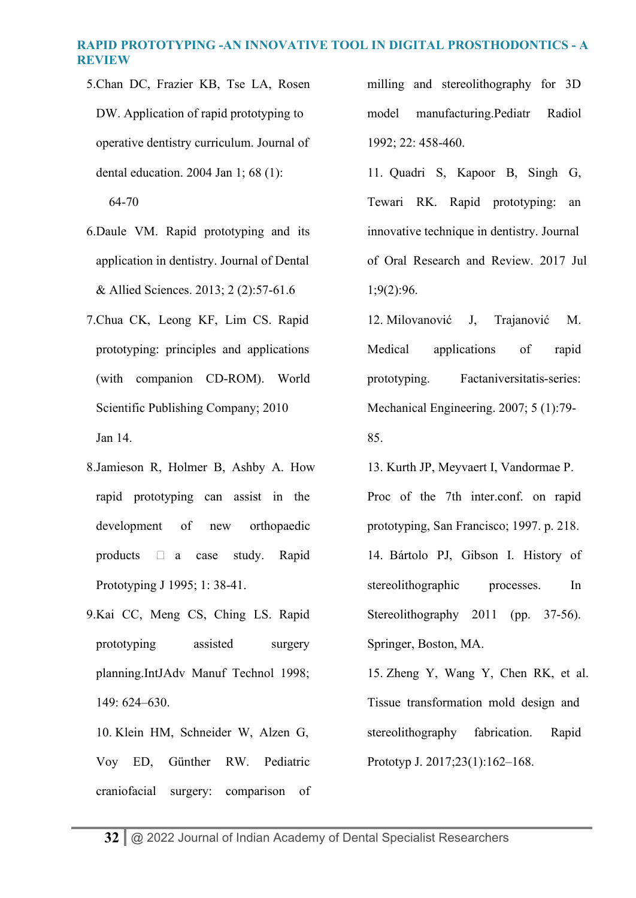5.Chan DC, Frazier KB, Tse LA, Rosen DW. Application of rapid prototyping to operative dentistry curriculum. Journal of dental education. 2004 Jan 1; 68 (1):

64-70

- 6.Daule VM. Rapid prototyping and its application in dentistry. Journal of Dental & Allied Sciences. 2013; 2 (2):57-61.6
- 7.Chua CK, Leong KF, Lim CS. Rapid prototyping: principles and applications (with companion CD-ROM). World Scientific Publishing Company; 2010 Jan 14.
- 8.Jamieson R, Holmer B, Ashby A. How rapid prototyping can assist in the development of new orthopaedic products  $\Box$  a case study. Rapid Prototyping J 1995; 1: 38-41.
- 9.Kai CC, Meng CS, Ching LS. Rapid prototyping assisted surgery planning.IntJAdv Manuf Technol 1998; 149: 624–630.
	- 10. Klein HM, Schneider W, Alzen G, Voy ED, Günther RW. Pediatric craniofacial surgery: comparison of

milling and stereolithography for 3D model manufacturing.Pediatr Radiol 1992; 22: 458-460.

- 11. Quadri S, Kapoor B, Singh G, Tewari RK. Rapid prototyping: an innovative technique in dentistry. Journal of Oral Research and Review. 2017 Jul 1;9(2):96.
- 12. Milovanović J, Trajanović M. Medical applications of rapid prototyping. Factaniversitatis-series: Mechanical Engineering. 2007; 5 (1):79- 85.
- 13. Kurth JP, Meyvaert I, Vandormae P. Proc of the 7th inter.conf. on rapid prototyping, San Francisco; 1997. p. 218. 14. Bártolo PJ, Gibson I. History of stereolithographic processes. In Stereolithography 2011 (pp. 37-56). Springer, Boston, MA.
- 15. Zheng Y, Wang Y, Chen RK, et al. Tissue transformation mold design and stereolithography fabrication. Rapid Prototyp J. 2017;23(1):162–168.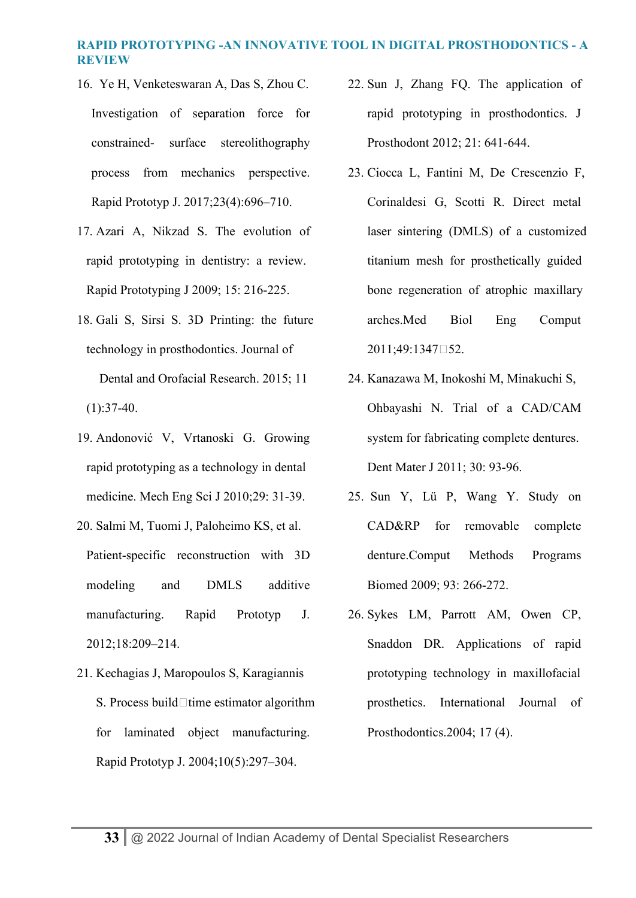- 16. Ye H, Venketeswaran A, Das S, Zhou C. Investigation of separation force for constrained- surface stereolithography process from mechanics perspective. Rapid Prototyp J. 2017;23(4):696–710.
- 17. Azari A, Nikzad S. The evolution of rapid prototyping in dentistry: a review. Rapid Prototyping J 2009; 15: 216-225.
- 18. Gali S, Sirsi S. 3D Printing: the future technology in prosthodontics. Journal of Dental and Orofacial Research. 2015; 11  $(1):37-40.$
- 19. Andonović V, Vrtanoski G. Growing rapid prototyping as a technology in dental medicine. Mech Eng Sci J 2010;29: 31-39.
- 20. Salmi M, Tuomi J, Paloheimo KS, et al. Patient-specific reconstruction with 3D modeling and DMLS additive manufacturing. Rapid Prototyp J. 2012;18:209–214.
- 21. Kechagias J, Maropoulos S, Karagiannis S. Process build  $\Box$  time estimator algorithm for laminated object manufacturing. Rapid Prototyp J. 2004;10(5):297–304.
- 22. Sun J, Zhang FQ. The application of rapid prototyping in prosthodontics. J Prosthodont 2012; 21: 641-644.
- 23. Ciocca L, Fantini M, De Crescenzio F, Corinaldesi G, Scotti R. Direct metal laser sintering (DMLS) of a customized titanium mesh for prosthetically guided bone regeneration of atrophic maxillary arches.Med Biol Eng Comput 2011;49:1347‑52.
- 24. Kanazawa M, Inokoshi M, Minakuchi S, Ohbayashi N. Trial of a CAD/CAM system for fabricating complete dentures. Dent Mater J 2011; 30: 93-96.
- 25. Sun Y, Lü P, Wang Y. Study on CAD&RP for removable complete denture.Comput Methods Programs Biomed 2009; 93: 266-272.
- 26. Sykes LM, Parrott AM, Owen CP, Snaddon DR. Applications of rapid prototyping technology in maxillofacial prosthetics. International Journal of Prosthodontics.2004; 17 (4).